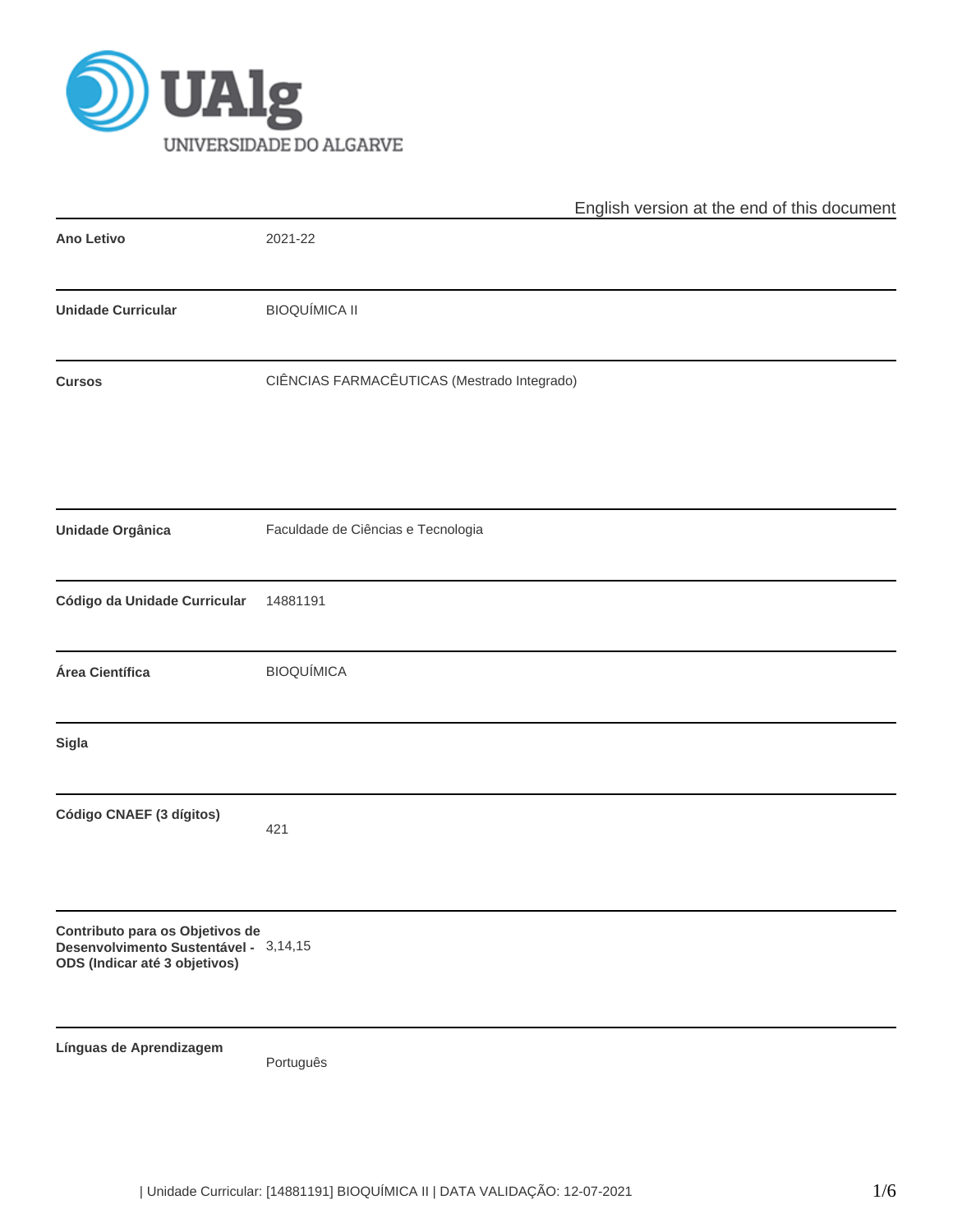

|                                                                                                           | English version at the end of this document |
|-----------------------------------------------------------------------------------------------------------|---------------------------------------------|
| <b>Ano Letivo</b>                                                                                         | 2021-22                                     |
| <b>Unidade Curricular</b>                                                                                 | <b>BIOQUÍMICA II</b>                        |
| <b>Cursos</b>                                                                                             | CIÊNCIAS FARMACÊUTICAS (Mestrado Integrado) |
| <b>Unidade Orgânica</b>                                                                                   | Faculdade de Ciências e Tecnologia          |
| Código da Unidade Curricular                                                                              | 14881191                                    |
| Área Científica                                                                                           | <b>BIOQUÍMICA</b>                           |
| Sigla                                                                                                     |                                             |
| Código CNAEF (3 dígitos)                                                                                  | 421                                         |
| Contributo para os Objetivos de<br>Desenvolvimento Sustentável - 3,14,15<br>ODS (Indicar até 3 objetivos) |                                             |
| Línguas de Aprendizagem                                                                                   | Português                                   |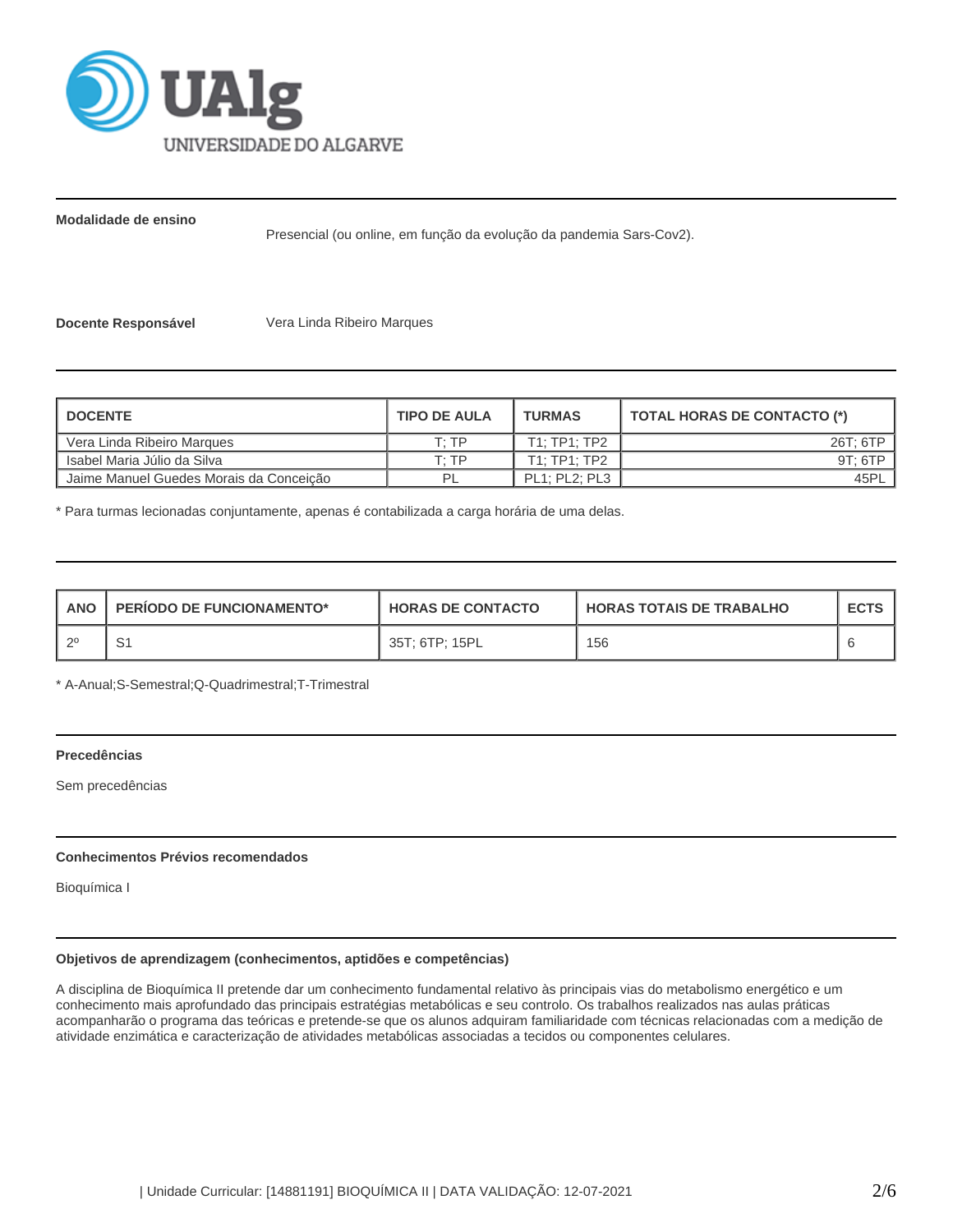

**Modalidade de ensino**

Presencial (ou online, em função da evolução da pandemia Sars-Cov2).

**Docente Responsável** Vera Linda Ribeiro Marques

| <b>I DOCENTE</b>                        | <b>TIPO DE AULA</b> | <b>TURMAS</b>        | <b>TOTAL HORAS DE CONTACTO (*)</b> |
|-----------------------------------------|---------------------|----------------------|------------------------------------|
| Vera Linda Ribeiro Marques              | T. TP               | T1: TP1: TP2         | 26T: 6TP                           |
| l Isabel Maria Júlio da Silva           | סד יד               | T1: TP1: TP2         | 9T: 6TP                            |
| Jaime Manuel Guedes Morais da Conceição |                     | <b>PL1: PL2: PL3</b> | 45PL                               |

\* Para turmas lecionadas conjuntamente, apenas é contabilizada a carga horária de uma delas.

| <b>ANO</b> | <b>PERIODO DE FUNCIONAMENTO*</b> | <b>HORAS DE CONTACTO</b> | <b>HORAS TOTAIS DE TRABALHO</b> | <b>ECTS</b> |
|------------|----------------------------------|--------------------------|---------------------------------|-------------|
| - വ        | ا ب                              | 35T: 6TP: 15PL           | 156                             |             |

\* A-Anual;S-Semestral;Q-Quadrimestral;T-Trimestral

#### **Precedências**

Sem precedências

# **Conhecimentos Prévios recomendados**

Bioquímica I

## **Objetivos de aprendizagem (conhecimentos, aptidões e competências)**

A disciplina de Bioquímica II pretende dar um conhecimento fundamental relativo às principais vias do metabolismo energético e um conhecimento mais aprofundado das principais estratégias metabólicas e seu controlo. Os trabalhos realizados nas aulas práticas acompanharão o programa das teóricas e pretende-se que os alunos adquiram familiaridade com técnicas relacionadas com a medição de atividade enzimática e caracterização de atividades metabólicas associadas a tecidos ou componentes celulares.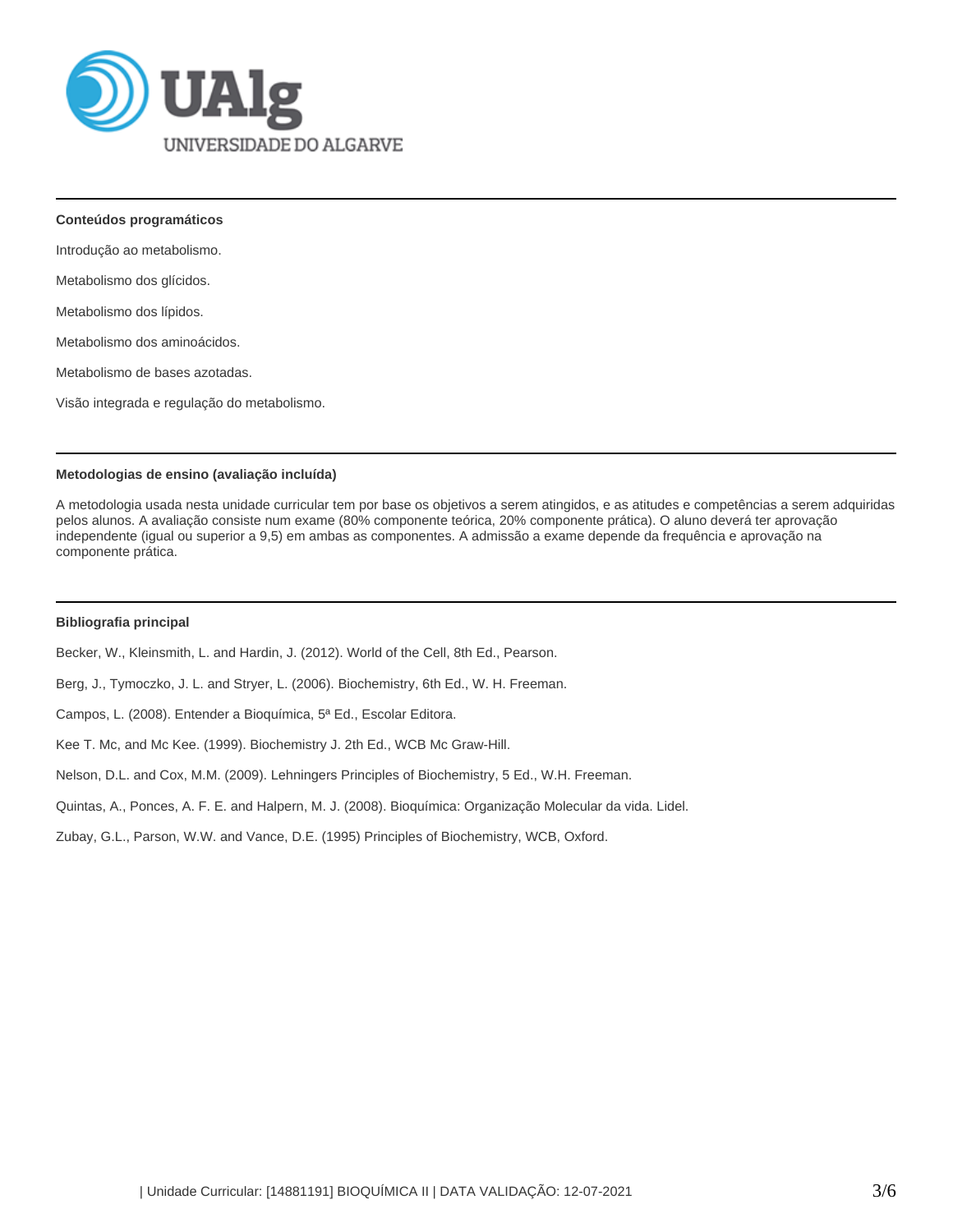

**Conteúdos programáticos**

Introdução ao metabolismo.

Metabolismo dos glícidos.

Metabolismo dos lípidos.

Metabolismo dos aminoácidos.

Metabolismo de bases azotadas.

Visão integrada e regulação do metabolismo.

### **Metodologias de ensino (avaliação incluída)**

A metodologia usada nesta unidade curricular tem por base os objetivos a serem atingidos, e as atitudes e competências a serem adquiridas pelos alunos. A avaliação consiste num exame (80% componente teórica, 20% componente prática). O aluno deverá ter aprovação independente (igual ou superior a 9,5) em ambas as componentes. A admissão a exame depende da frequência e aprovação na componente prática.

# **Bibliografia principal**

Becker, W., Kleinsmith, L. and Hardin, J. (2012). World of the Cell, 8th Ed., Pearson.

Berg, J., Tymoczko, J. L. and Stryer, L. (2006). Biochemistry, 6th Ed., W. H. Freeman.

Campos, L. (2008). Entender a Bioquímica, 5ª Ed., Escolar Editora.

Kee T. Mc, and Mc Kee. (1999). Biochemistry J. 2th Ed., WCB Mc Graw-Hill.

Nelson, D.L. and Cox, M.M. (2009). Lehningers Principles of Biochemistry, 5 Ed., W.H. Freeman.

Quintas, A., Ponces, A. F. E. and Halpern, M. J. (2008). Bioquímica: Organização Molecular da vida. Lidel.

Zubay, G.L., Parson, W.W. and Vance, D.E. (1995) Principles of Biochemistry, WCB, Oxford.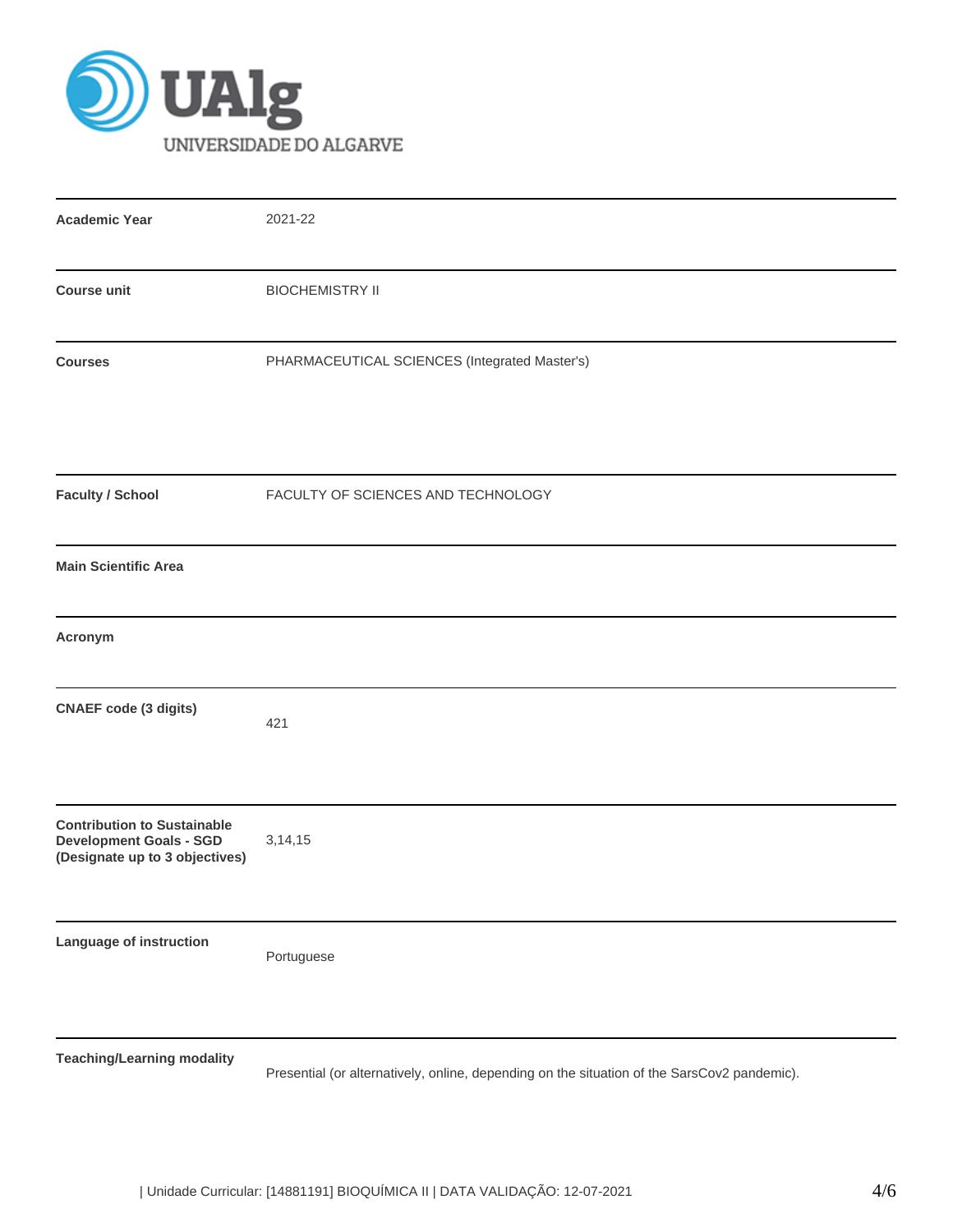

| <b>Academic Year</b>                                                                                   | 2021-22                                                                                     |
|--------------------------------------------------------------------------------------------------------|---------------------------------------------------------------------------------------------|
| <b>Course unit</b>                                                                                     | <b>BIOCHEMISTRY II</b>                                                                      |
| <b>Courses</b>                                                                                         | PHARMACEUTICAL SCIENCES (Integrated Master's)                                               |
| <b>Faculty / School</b>                                                                                | FACULTY OF SCIENCES AND TECHNOLOGY                                                          |
| <b>Main Scientific Area</b>                                                                            |                                                                                             |
| Acronym                                                                                                |                                                                                             |
| <b>CNAEF code (3 digits)</b>                                                                           | 421                                                                                         |
| <b>Contribution to Sustainable</b><br><b>Development Goals - SGD</b><br>(Designate up to 3 objectives) | 3, 14, 15                                                                                   |
| Language of instruction                                                                                | Portuguese                                                                                  |
| <b>Teaching/Learning modality</b>                                                                      | Presential (or alternatively, online, depending on the situation of the SarsCov2 pandemic). |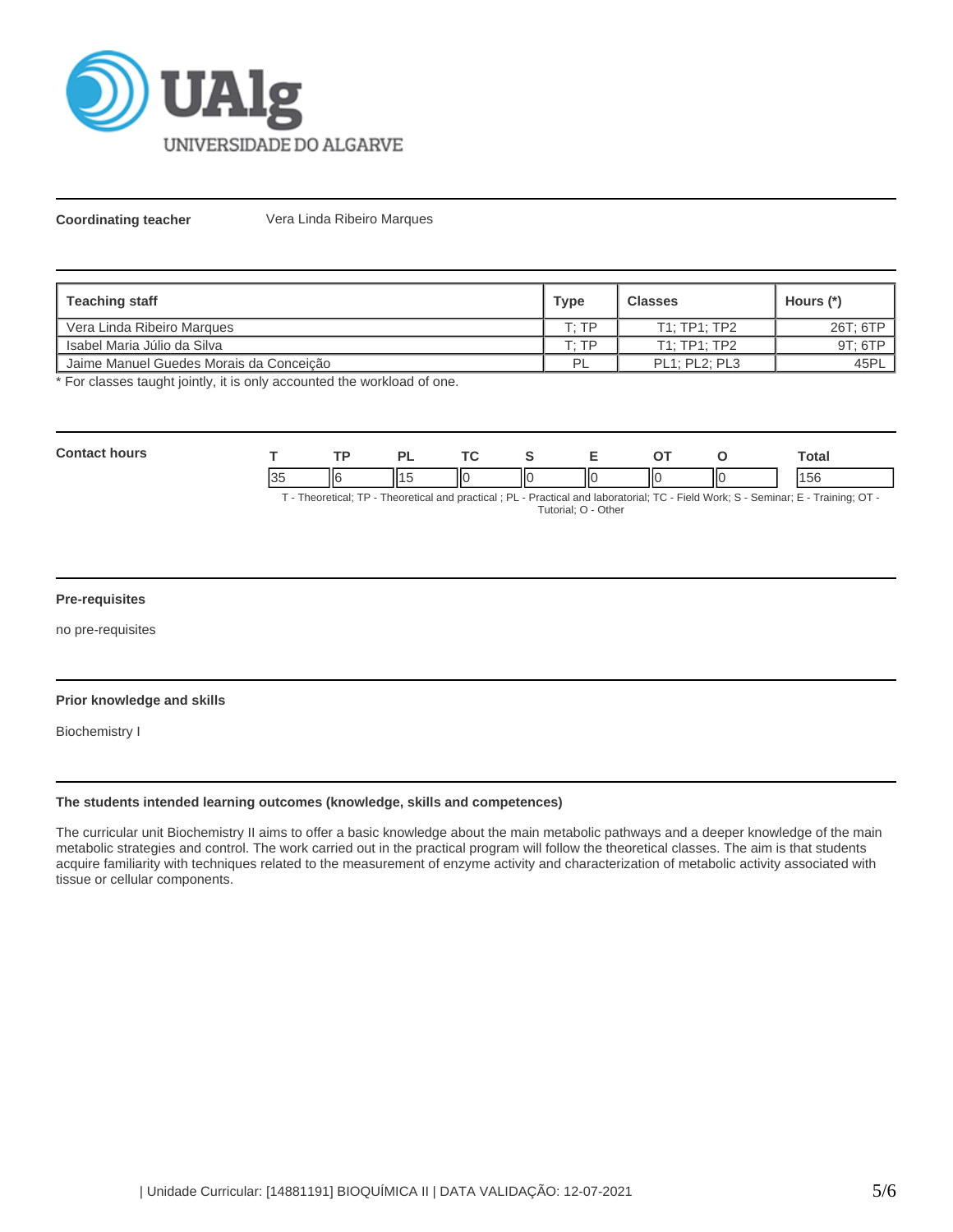

**Coordinating teacher Vera Linda Ribeiro Marques** 

| <b>Teaching staff</b>                   | <b>Type</b> | <b>Classes</b>       | Hours (*) |
|-----------------------------------------|-------------|----------------------|-----------|
| l Vera Linda Ribeiro Marques            | T· TP       | T1: TP1: TP2         | 26T; 6TP  |
| l Isabel Maria Júlio da Silva           | г∙ тр       | T1:TP1:TP2           | 9T: 6TP   |
| Jaime Manuel Guedes Morais da Conceição | PI          | <b>PL1: PL2: PL3</b> | 45PL      |

\* For classes taught jointly, it is only accounted the workload of one.

| <b>Contact hours</b>                                                                                                               |  | то  |  |  |   |  |  | ™otal |
|------------------------------------------------------------------------------------------------------------------------------------|--|-----|--|--|---|--|--|-------|
|                                                                                                                                    |  | IIє |  |  | Ш |  |  | 156   |
| T - Theoretical; TP - Theoretical and practical; PL - Practical and laboratorial; TC - Field Work; S - Seminar; E - Training; OT - |  |     |  |  |   |  |  |       |

#### Tutorial; O - Other

#### **Pre-requisites**

no pre-requisites

### **Prior knowledge and skills**

Biochemistry I

# **The students intended learning outcomes (knowledge, skills and competences)**

The curricular unit Biochemistry II aims to offer a basic knowledge about the main metabolic pathways and a deeper knowledge of the main metabolic strategies and control. The work carried out in the practical program will follow the theoretical classes. The aim is that students acquire familiarity with techniques related to the measurement of enzyme activity and characterization of metabolic activity associated with tissue or cellular components.